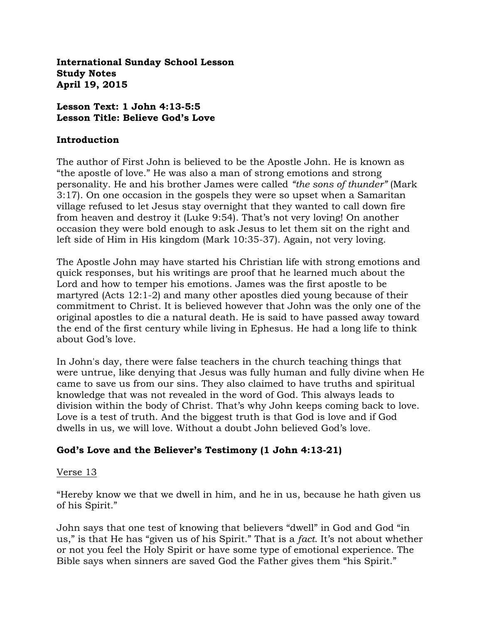**International Sunday School Lesson Study Notes April 19, 2015**

#### **Lesson Text: 1 John 4:13-5:5 Lesson Title: Believe God's Love**

#### **Introduction**

The author of First John is believed to be the Apostle John. He is known as "the apostle of love." He was also a man of strong emotions and strong personality. He and his brother James were called *"the sons of thunder"* (Mark 3:17). On one occasion in the gospels they were so upset when a Samaritan village refused to let Jesus stay overnight that they wanted to call down fire from heaven and destroy it (Luke 9:54). That's not very loving! On another occasion they were bold enough to ask Jesus to let them sit on the right and left side of Him in His kingdom (Mark 10:35-37). Again, not very loving.

The Apostle John may have started his Christian life with strong emotions and quick responses, but his writings are proof that he learned much about the Lord and how to temper his emotions. James was the first apostle to be martyred (Acts 12:1-2) and many other apostles died young because of their commitment to Christ. It is believed however that John was the only one of the original apostles to die a natural death. He is said to have passed away toward the end of the first century while living in Ephesus. He had a long life to think about God's love.

In John's day, there were false teachers in the church teaching things that were untrue, like denying that Jesus was fully human and fully divine when He came to save us from our sins. They also claimed to have truths and spiritual knowledge that was not revealed in the word of God. This always leads to division within the body of Christ. That's why John keeps coming back to love. Love is a test of truth. And the biggest truth is that God is love and if God dwells in us, we will love. Without a doubt John believed God's love.

## **God's Love and the Believer's Testimony (1 John 4:13-21)**

#### Verse 13

"Hereby know we that we dwell in him, and he in us, because he hath given us of his Spirit."

John says that one test of knowing that believers "dwell" in God and God "in us," is that He has "given us of his Spirit." That is a *fact*. It's not about whether or not you feel the Holy Spirit or have some type of emotional experience. The Bible says when sinners are saved God the Father gives them "his Spirit."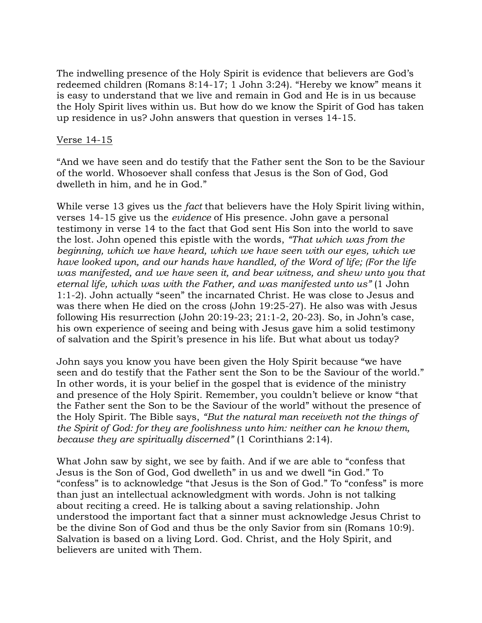The indwelling presence of the Holy Spirit is evidence that believers are God's redeemed children (Romans 8:14-17; 1 John 3:24). "Hereby we know" means it is easy to understand that we live and remain in God and He is in us because the Holy Spirit lives within us. But how do we know the Spirit of God has taken up residence in us? John answers that question in verses 14-15.

#### Verse 14-15

"And we have seen and do testify that the Father sent the Son to be the Saviour of the world. Whosoever shall confess that Jesus is the Son of God, God dwelleth in him, and he in God."

While verse 13 gives us the *fact* that believers have the Holy Spirit living within, verses 14-15 give us the *evidence* of His presence. John gave a personal testimony in verse 14 to the fact that God sent His Son into the world to save the lost. John opened this epistle with the words, *"That which was from the beginning, which we have heard, which we have seen with our eyes, which we have looked upon, and our hands have handled, of the Word of life; (For the life was manifested, and we have seen it, and bear witness, and shew unto you that eternal life, which was with the Father, and was manifested unto us"* (1 John 1:1-2). John actually "seen" the incarnated Christ. He was close to Jesus and was there when He died on the cross (John 19:25-27). He also was with Jesus following His resurrection (John 20:19-23; 21:1-2, 20-23). So, in John's case, his own experience of seeing and being with Jesus gave him a solid testimony of salvation and the Spirit's presence in his life. But what about us today?

John says you know you have been given the Holy Spirit because "we have seen and do testify that the Father sent the Son to be the Saviour of the world." In other words, it is your belief in the gospel that is evidence of the ministry and presence of the Holy Spirit. Remember, you couldn't believe or know "that the Father sent the Son to be the Saviour of the world" without the presence of the Holy Spirit. The Bible says, *"But the natural man receiveth not the things of the Spirit of God: for they are foolishness unto him: neither can he know them, because they are spiritually discerned"* (1 Corinthians 2:14).

What John saw by sight, we see by faith. And if we are able to "confess that Jesus is the Son of God, God dwelleth" in us and we dwell "in God." To "confess" is to acknowledge "that Jesus is the Son of God." To "confess" is more than just an intellectual acknowledgment with words. John is not talking about reciting a creed. He is talking about a saving relationship. John understood the important fact that a sinner must acknowledge Jesus Christ to be the divine Son of God and thus be the only Savior from sin (Romans 10:9). Salvation is based on a living Lord. God. Christ, and the Holy Spirit, and believers are united with Them.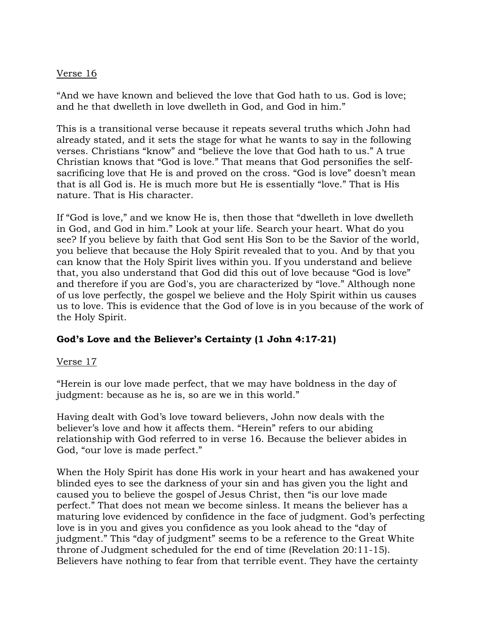### Verse 16

"And we have known and believed the love that God hath to us. God is love; and he that dwelleth in love dwelleth in God, and God in him."

This is a transitional verse because it repeats several truths which John had already stated, and it sets the stage for what he wants to say in the following verses. Christians "know" and "believe the love that God hath to us." A true Christian knows that "God is love." That means that God personifies the selfsacrificing love that He is and proved on the cross. "God is love" doesn't mean that is all God is. He is much more but He is essentially "love." That is His nature. That is His character.

If "God is love," and we know He is, then those that "dwelleth in love dwelleth in God, and God in him." Look at your life. Search your heart. What do you see? If you believe by faith that God sent His Son to be the Savior of the world, you believe that because the Holy Spirit revealed that to you. And by that you can know that the Holy Spirit lives within you. If you understand and believe that, you also understand that God did this out of love because "God is love" and therefore if you are God's, you are characterized by "love." Although none of us love perfectly, the gospel we believe and the Holy Spirit within us causes us to love. This is evidence that the God of love is in you because of the work of the Holy Spirit.

## **God's Love and the Believer's Certainty (1 John 4:17-21)**

#### Verse 17

"Herein is our love made perfect, that we may have boldness in the day of judgment: because as he is, so are we in this world."

Having dealt with God's love toward believers, John now deals with the believer's love and how it affects them. "Herein" refers to our abiding relationship with God referred to in verse 16. Because the believer abides in God, "our love is made perfect."

When the Holy Spirit has done His work in your heart and has awakened your blinded eyes to see the darkness of your sin and has given you the light and caused you to believe the gospel of Jesus Christ, then "is our love made perfect." That does not mean we become sinless. It means the believer has a maturing love evidenced by confidence in the face of judgment. God's perfecting love is in you and gives you confidence as you look ahead to the "day of judgment." This "day of judgment" seems to be a reference to the Great White throne of Judgment scheduled for the end of time (Revelation 20:11-15). Believers have nothing to fear from that terrible event. They have the certainty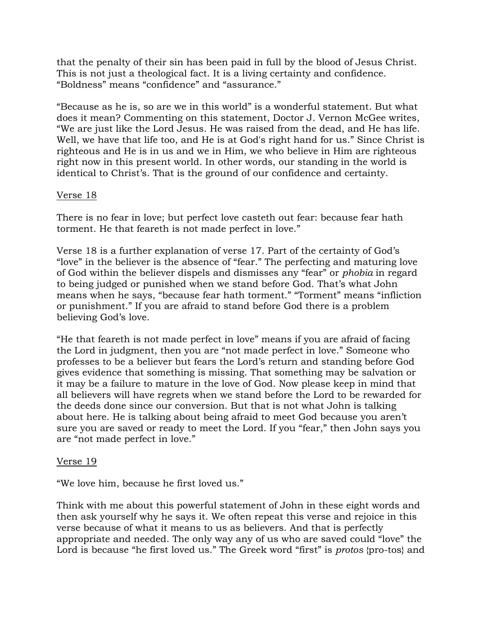that the penalty of their sin has been paid in full by the blood of Jesus Christ. This is not just a theological fact. It is a living certainty and confidence. "Boldness" means "confidence" and "assurance."

"Because as he is, so are we in this world" is a wonderful statement. But what does it mean? Commenting on this statement, Doctor J. Vernon McGee writes, "We are just like the Lord Jesus. He was raised from the dead, and He has life. Well, we have that life too, and He is at God's right hand for us." Since Christ is righteous and He is in us and we in Him, we who believe in Him are righteous right now in this present world. In other words, our standing in the world is identical to Christ's. That is the ground of our confidence and certainty.

## Verse 18

There is no fear in love; but perfect love casteth out fear: because fear hath torment. He that feareth is not made perfect in love."

Verse 18 is a further explanation of verse 17. Part of the certainty of God's "love" in the believer is the absence of "fear." The perfecting and maturing love of God within the believer dispels and dismisses any "fear" or *phobia* in regard to being judged or punished when we stand before God. That's what John means when he says, "because fear hath torment." "Torment" means "infliction or punishment." If you are afraid to stand before God there is a problem believing God's love.

"He that feareth is not made perfect in love" means if you are afraid of facing the Lord in judgment, then you are "not made perfect in love." Someone who professes to be a believer but fears the Lord's return and standing before God gives evidence that something is missing. That something may be salvation or it may be a failure to mature in the love of God. Now please keep in mind that all believers will have regrets when we stand before the Lord to be rewarded for the deeds done since our conversion. But that is not what John is talking about here. He is talking about being afraid to meet God because you aren't sure you are saved or ready to meet the Lord. If you "fear," then John says you are "not made perfect in love."

#### Verse 19

"We love him, because he first loved us."

Think with me about this powerful statement of John in these eight words and then ask yourself why he says it. We often repeat this verse and rejoice in this verse because of what it means to us as believers. And that is perfectly appropriate and needed. The only way any of us who are saved could "love" the Lord is because "he first loved us." The Greek word "first" is *protos* {pro-tos} and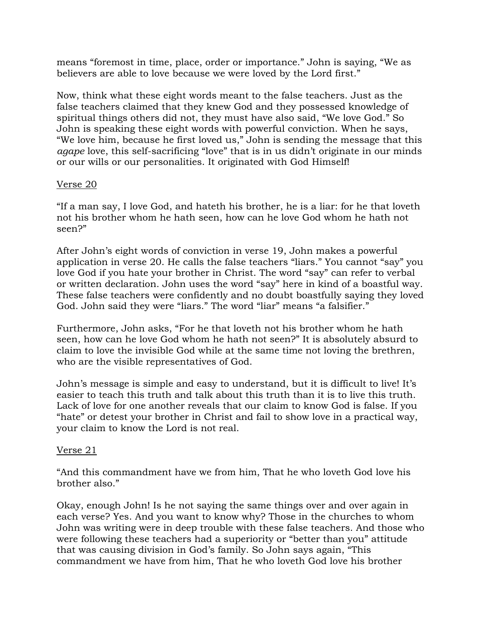means "foremost in time, place, order or importance." John is saying, "We as believers are able to love because we were loved by the Lord first."

Now, think what these eight words meant to the false teachers. Just as the false teachers claimed that they knew God and they possessed knowledge of spiritual things others did not, they must have also said, "We love God." So John is speaking these eight words with powerful conviction. When he says, "We love him, because he first loved us," John is sending the message that this *agape* love, this self-sacrificing "love" that is in us didn't originate in our minds or our wills or our personalities. It originated with God Himself!

#### Verse 20

"If a man say, I love God, and hateth his brother, he is a liar: for he that loveth not his brother whom he hath seen, how can he love God whom he hath not seen?"

After John's eight words of conviction in verse 19, John makes a powerful application in verse 20. He calls the false teachers "liars." You cannot "say" you love God if you hate your brother in Christ. The word "say" can refer to verbal or written declaration. John uses the word "say" here in kind of a boastful way. These false teachers were confidently and no doubt boastfully saying they loved God. John said they were "liars." The word "liar" means "a falsifier."

Furthermore, John asks, "For he that loveth not his brother whom he hath seen, how can he love God whom he hath not seen?" It is absolutely absurd to claim to love the invisible God while at the same time not loving the brethren, who are the visible representatives of God.

John's message is simple and easy to understand, but it is difficult to live! It's easier to teach this truth and talk about this truth than it is to live this truth. Lack of love for one another reveals that our claim to know God is false. If you "hate" or detest your brother in Christ and fail to show love in a practical way, your claim to know the Lord is not real.

## Verse 21

"And this commandment have we from him, That he who loveth God love his brother also."

Okay, enough John! Is he not saying the same things over and over again in each verse? Yes. And you want to know why? Those in the churches to whom John was writing were in deep trouble with these false teachers. And those who were following these teachers had a superiority or "better than you" attitude that was causing division in God's family. So John says again, "This commandment we have from him, That he who loveth God love his brother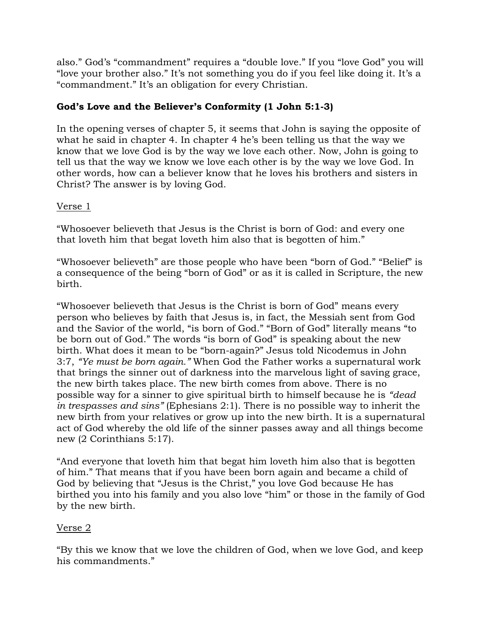also." God's "commandment" requires a "double love." If you "love God" you will "love your brother also." It's not something you do if you feel like doing it. It's a "commandment." It's an obligation for every Christian.

# **God's Love and the Believer's Conformity (1 John 5:1-3)**

In the opening verses of chapter 5, it seems that John is saying the opposite of what he said in chapter 4. In chapter 4 he's been telling us that the way we know that we love God is by the way we love each other. Now, John is going to tell us that the way we know we love each other is by the way we love God. In other words, how can a believer know that he loves his brothers and sisters in Christ? The answer is by loving God.

Verse 1

"Whosoever believeth that Jesus is the Christ is born of God: and every one that loveth him that begat loveth him also that is begotten of him."

"Whosoever believeth" are those people who have been "born of God." "Belief" is a consequence of the being "born of God" or as it is called in Scripture, the new birth.

"Whosoever believeth that Jesus is the Christ is born of God" means every person who believes by faith that Jesus is, in fact, the Messiah sent from God and the Savior of the world, "is born of God." "Born of God" literally means "to be born out of God." The words "is born of God" is speaking about the new birth. What does it mean to be "born-again?" Jesus told Nicodemus in John 3:7, *"Ye must be born again."* When God the Father works a supernatural work that brings the sinner out of darkness into the marvelous light of saving grace, the new birth takes place. The new birth comes from above. There is no possible way for a sinner to give spiritual birth to himself because he is *"dead in trespasses and sins"* (Ephesians 2:1). There is no possible way to inherit the new birth from your relatives or grow up into the new birth. It is a supernatural act of God whereby the old life of the sinner passes away and all things become new (2 Corinthians 5:17).

"And everyone that loveth him that begat him loveth him also that is begotten of him." That means that if you have been born again and became a child of God by believing that "Jesus is the Christ," you love God because He has birthed you into his family and you also love "him" or those in the family of God by the new birth.

## Verse 2

"By this we know that we love the children of God, when we love God, and keep his commandments."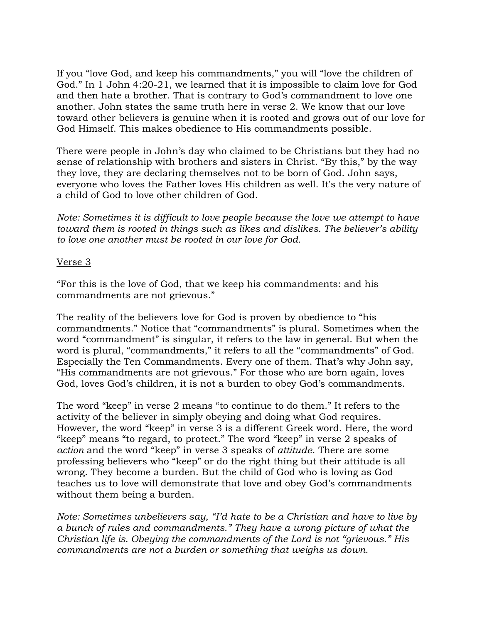If you "love God, and keep his commandments," you will "love the children of God." In 1 John 4:20-21, we learned that it is impossible to claim love for God and then hate a brother. That is contrary to God's commandment to love one another. John states the same truth here in verse 2. We know that our love toward other believers is genuine when it is rooted and grows out of our love for God Himself. This makes obedience to His commandments possible.

There were people in John's day who claimed to be Christians but they had no sense of relationship with brothers and sisters in Christ. "By this," by the way they love, they are declaring themselves not to be born of God. John says, everyone who loves the Father loves His children as well. It's the very nature of a child of God to love other children of God.

*Note: Sometimes it is difficult to love people because the love we attempt to have toward them is rooted in things such as likes and dislikes. The believer's ability to love one another must be rooted in our love for God.* 

#### Verse 3

"For this is the love of God, that we keep his commandments: and his commandments are not grievous."

The reality of the believers love for God is proven by obedience to "his commandments." Notice that "commandments" is plural. Sometimes when the word "commandment" is singular, it refers to the law in general. But when the word is plural, "commandments," it refers to all the "commandments" of God. Especially the Ten Commandments. Every one of them. That's why John say, "His commandments are not grievous." For those who are born again, loves God, loves God's children, it is not a burden to obey God's commandments.

The word "keep" in verse 2 means "to continue to do them." It refers to the activity of the believer in simply obeying and doing what God requires. However, the word "keep" in verse 3 is a different Greek word. Here, the word "keep" means "to regard, to protect." The word "keep" in verse 2 speaks of *action* and the word "keep" in verse 3 speaks of *attitude*. There are some professing believers who "keep" or do the right thing but their attitude is all wrong. They become a burden. But the child of God who is loving as God teaches us to love will demonstrate that love and obey God's commandments without them being a burden.

*Note: Sometimes unbelievers say, "I'd hate to be a Christian and have to live by a bunch of rules and commandments." They have a wrong picture of what the Christian life is. Obeying the commandments of the Lord is not "grievous." His commandments are not a burden or something that weighs us down.*